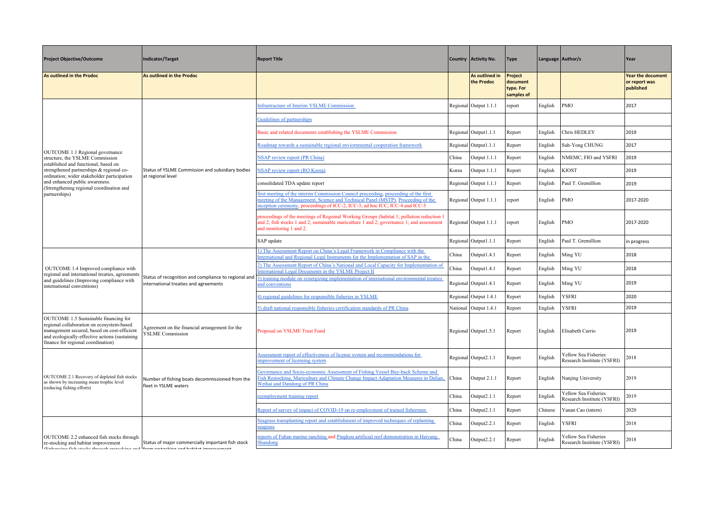| <b>Project Objective/Outcome</b>                                                                                                                                                                                          | Indicator/Target                                                                              | <b>Report Title</b>                                                                                                                                                                                                                                     |       | Country   Activity No.       | <b>Type</b>                                           |         | Language Author/s                                   | Year                                                   |
|---------------------------------------------------------------------------------------------------------------------------------------------------------------------------------------------------------------------------|-----------------------------------------------------------------------------------------------|---------------------------------------------------------------------------------------------------------------------------------------------------------------------------------------------------------------------------------------------------------|-------|------------------------------|-------------------------------------------------------|---------|-----------------------------------------------------|--------------------------------------------------------|
| <b>As outlined in the Prodoc</b>                                                                                                                                                                                          | As outlined in the Prodoc                                                                     |                                                                                                                                                                                                                                                         |       | As outlined in<br>the Prodoc | <b>Project</b><br>document<br>type. For<br>samples of |         |                                                     | <b>Year the document</b><br>or report was<br>published |
|                                                                                                                                                                                                                           |                                                                                               | Infrastructure of Interim YSLME Commission                                                                                                                                                                                                              |       | Regional Output 1.1.1        | report                                                | English | PMO                                                 | 2017                                                   |
|                                                                                                                                                                                                                           |                                                                                               | Guidelines of partnerships                                                                                                                                                                                                                              |       |                              |                                                       |         |                                                     |                                                        |
|                                                                                                                                                                                                                           |                                                                                               | Basic and related documents establishing the YSLME Commission                                                                                                                                                                                           |       | Regional Output1.1.1         | Report                                                | English | Chris HEDLEY                                        | 2019                                                   |
| OUTCOME 1.1 Regional governance                                                                                                                                                                                           |                                                                                               | Roadmap towards a sustainable regional enviornmental cooperation framework                                                                                                                                                                              |       | Regional Output1.1.1         | Report                                                | English | Suh-Yong CHUNG                                      | 2017                                                   |
| structure, the YSLME Commission<br>established and functional, based on                                                                                                                                                   |                                                                                               | <b>NSAP</b> review report (PR China)                                                                                                                                                                                                                    | China | Output 1.1.1                 | Report                                                | English | NMEMC, FIO and YSFRI                                | 2019                                                   |
| strengthened partnerships & regional co-<br>ordination; wider stakeholder participation                                                                                                                                   | Status of YSLME Commission and subsidiary bodies<br>at regional level                         | <b>NSAP</b> review report (RO Korea)                                                                                                                                                                                                                    | Korea | Output 1.1.1                 | Report                                                | English | <b>KIOST</b>                                        | 2019                                                   |
| and enhanced public awareness.<br>(Strengthening regional coordination and                                                                                                                                                |                                                                                               | consolidated TDA update report                                                                                                                                                                                                                          |       | Regional Output 1.1.1        | Report                                                | English | Paul T. Gremillion                                  | 2019                                                   |
| partnerships)                                                                                                                                                                                                             |                                                                                               | first meeting of the interim Commission Council proceeding, proceeding of the first<br>meeting of the Management, Science and Technical Panel (MSTP), Proceeding of the<br>inception ceremony, proceedings of ICC-2, ICC-3, ad hoc ICC, ICC-4 and ICC-5 |       | Regional Output 1.1.1        | report                                                | English | PMO                                                 | 2017-2020                                              |
|                                                                                                                                                                                                                           |                                                                                               | proceedings of the meetings of Regoinal Working Groups (habitat 1; pollution reduction 1<br>and 2; fish stocks 1 and 2; sustainable mariculture 1 and 2; governance 1; and assessment<br>and monitoring 1 and 2.                                        |       | Regional Output 1.1.1        | report                                                | English | PMO                                                 | 2017-2020                                              |
|                                                                                                                                                                                                                           |                                                                                               | SAP update                                                                                                                                                                                                                                              |       | Regional Output1.1.1         | Report                                                | English | Paul T. Gremillion                                  | in progress                                            |
|                                                                                                                                                                                                                           | Status of recognition and compliance to regional and<br>international treaties and agreements | 1) The Assessment Report on China's Legal Framework in Compliance with the<br>International and Regional Legal Instruments for the Implementation of SAP in the                                                                                         | China | Output1.4.1                  | Report                                                | English | Ming YU                                             | 2018                                                   |
| OUTCOME 1.4 Improved compliance with                                                                                                                                                                                      |                                                                                               | 2) The Assessment Report of China's National and Local Capacity for Implementation of<br>International Legal Documents in the YSLME Project II                                                                                                          | China | Output1.4.1                  | Report                                                | English | Ming YU                                             | 2018                                                   |
| regional and international treaties, agreements<br>and guidelines (Improving compliance with<br>international conventions)                                                                                                |                                                                                               | 3) training module on synergizing implementation of international environmental treaties<br>and conventions                                                                                                                                             |       | Regional Output1.4.1         | Report                                                | English | Ming YU                                             | 2019                                                   |
|                                                                                                                                                                                                                           |                                                                                               | 4) regional guidelines for responsible fisheries in YSLME                                                                                                                                                                                               |       | Regional Output 1.4.1        | Report                                                | English | <b>YSFRI</b>                                        | 2020                                                   |
|                                                                                                                                                                                                                           |                                                                                               | 5) draft national responsible fisheries certification standards of PR China                                                                                                                                                                             |       | National Output 1.4.1        | Report                                                | English | <b>YSFRI</b>                                        | 2019                                                   |
| OUTCOME 1.5 Sustainable financing for<br>regional collaboration on ecosystem-based<br>management secured, based on cost-efficient<br>and ecologically-effective actions (sustaining<br>finance for regional coordination) | Agreement on the financial arrangement for the<br><b>YSLME Commission</b>                     | Proposal on YSLME Trust Fund                                                                                                                                                                                                                            |       | Regional Output1.5.1         | Report                                                | English | Elisabeth Carrio                                    | 2019                                                   |
|                                                                                                                                                                                                                           |                                                                                               | Assessment report of effectiveness of license system and recommendations for<br>mprovement of licensing system                                                                                                                                          |       | Regional Output2.1.1         | Report                                                | English | Yellow Sea Fisheries<br>Research Insititute (YSFRI) | 2018                                                   |
| OUTCOME 2.1 Recovery of depleted fish stocks<br>as shown by increasing mean trophic level<br>(reducing fishing efforts)                                                                                                   | Number of fishing boats decommissioned from the<br>fleet in YSLME waters                      | Governance and Socio-economic Assessment of Fishing Vessel Buy-back Scheme and<br>Fish Restocking, Mariculture and Climate Change Impact Adaptation Measures in Dalian,<br>Weihai and Dandong of PR China                                               | China | Output 2.1.1                 | Report                                                | English | Nanjing University                                  | 2019                                                   |
|                                                                                                                                                                                                                           |                                                                                               | reemployment training report                                                                                                                                                                                                                            | China | Output2.1.1                  | Report                                                | English | Yellow Sea Fisheries<br>Research Insititute (YSFRI) | 2019                                                   |
|                                                                                                                                                                                                                           |                                                                                               | Report of survey of impact of COVID-19 on re-employment of trained fishermen                                                                                                                                                                            | China | Output2.1.1                  | Report                                                | Chinese | Yanan Cao (intern)                                  | 2020                                                   |
|                                                                                                                                                                                                                           |                                                                                               | Seagrass transplanting report and establishment of improved techniques of replanting<br>seagrass                                                                                                                                                        | China | Output2.2.1                  | Report                                                | English | <b>YSFRI</b>                                        | 2018                                                   |
| OUTCOME 2.2 enhanced fish stocks through<br>re-stocking and habitat improvement<br><b>Enhanaina fish staaks through rastasking and from rastasking and bahitat improvement</b>                                            | Status of major commercially important fish stock                                             | reports of Fuhan marine ranching and Pingkou artificial reef demonstration in Haiyang,<br>Shandong                                                                                                                                                      | China | Output2.2.1                  | Report                                                | English | Yellow Sea Fisheries<br>Research Insititute (YSFRI) | 2018                                                   |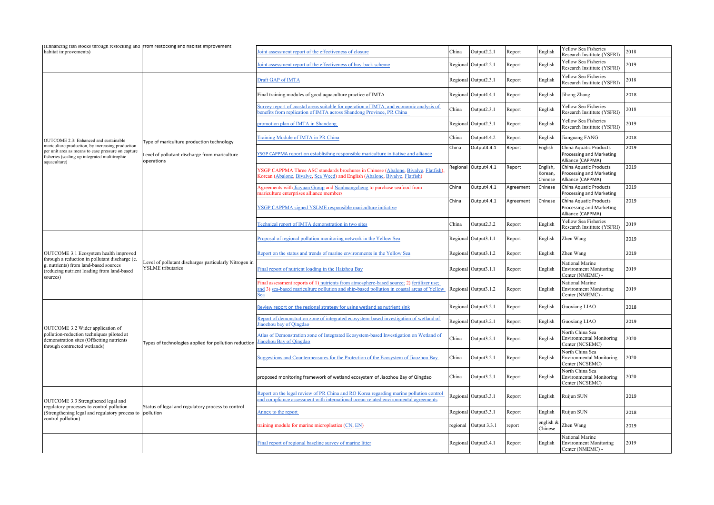| (Enhancing fish stocks through restocking and   from restocking and habitat improvement<br>habitat improvements)                                                        |                                                                                    | foint assessment report of the effectiveness of closure                                                                                                                                        | China    | Output2.2.1          | Report    | English                        | Yellow Sea Fisheries                                                               | 2018 |
|-------------------------------------------------------------------------------------------------------------------------------------------------------------------------|------------------------------------------------------------------------------------|------------------------------------------------------------------------------------------------------------------------------------------------------------------------------------------------|----------|----------------------|-----------|--------------------------------|------------------------------------------------------------------------------------|------|
|                                                                                                                                                                         |                                                                                    | foint assessment report of the effectiveness of buy-back scheme                                                                                                                                |          | Regional Output2.2.1 | Report    | English                        | Research Insititute (YSFRI)<br>Yellow Sea Fisheries<br>Research Insititute (YSFRI) | 2019 |
|                                                                                                                                                                         |                                                                                    | Draft GAP of IMTA                                                                                                                                                                              |          | Regional Output2.3.1 | Report    | English                        | Yellow Sea Fisheries<br>Research Insititute (YSFRI)                                | 2018 |
|                                                                                                                                                                         |                                                                                    | Final training modules of good aquaculture practice of IMTA                                                                                                                                    |          | Regional Output4.4.1 | Report    | English                        | Jihong Zhang                                                                       | 2018 |
|                                                                                                                                                                         |                                                                                    | Survey report of coastal areas suitable for operation of IMTA, and economic analysis of<br>penefits from replication of IMTA across Shandong Province, PR China                                | China    | Output2.3.1          | Report    | English                        | Yellow Sea Fisheries<br>Research Insititute (YSFRI)                                | 2018 |
|                                                                                                                                                                         |                                                                                    | promotion plan of IMTA in Shandong                                                                                                                                                             |          | Regional Output2.3.1 | Report    | English                        | Yellow Sea Fisheries<br>Research Insititute (YSFRI)                                | 2019 |
| OUTCOME 2.3: Enhanced and sustainable                                                                                                                                   | Type of mariculture production technology                                          | Training Module of IMTA in PR China                                                                                                                                                            | China    | Output4.4.2          | Report    | English                        | Jianguang FANG                                                                     | 2018 |
| mariculture production, by increasing production<br>per unit area as means to ease pressure on capture<br>fisheries (scaling up integrated multitrophic<br>aquaculture) | Level of pollutant discharge from mariculture<br>operations                        | YSGP CAPPMA report on establisihng responsible mariculture initiative and alliance                                                                                                             | China    | Output4.4.1          | Report    | English                        | China Aquatic Products<br>Processing and Marketing<br>Alliance (CAPPMA)            | 2019 |
|                                                                                                                                                                         |                                                                                    | YSGP CAPPMA Three ASC standards brochures in Chinese (Abalone, Bivalve, Flatfish).<br>Korean (Abalone, Bivalve, Sea Weed) and English (Abalone, Bivalve, Flatfish)                             |          | Regional Output4.4.1 | Report    | English,<br>Korean,<br>Chinese | China Aquatic Products<br>Processing and Marketing<br>Alliance (CAPPMA)            | 2019 |
|                                                                                                                                                                         |                                                                                    | Agreements with Jiayuan Group and Nanhuangcheng to purchase seafood from<br>nariculture enterprises alliance members                                                                           | China    | Output4.4.1          | Agreement | Chinese                        | China Aquatic Products<br>Processing and Marketing                                 | 2019 |
|                                                                                                                                                                         | Level of pollutant discharges particularly Nitrogen in<br><b>YSLME</b> tributaries | YSGP CAPPMA signed YSLME responsible mariculture initiative                                                                                                                                    | China    | Output4.4.1          | Agreement | Chinese                        | China Aquatic Products<br>Processing and Marketing<br>Alliance (CAPPMA)            | 2019 |
|                                                                                                                                                                         |                                                                                    | Technical report of IMTA demonstration in two sites                                                                                                                                            | China    | Output2.3.2          | Report    | English                        | Yellow Sea Fisheries<br>Research Insititute (YSFRI)                                | 2019 |
|                                                                                                                                                                         |                                                                                    | Proposal of regional pollution monitoring network in the Yellow Sea                                                                                                                            |          | Regional Output3.1.1 | Report    | English                        | Zhen Wang                                                                          | 2019 |
| OUTCOME 3.1 Ecosystem health improved<br>through a reduction in pollutant discharge (e.                                                                                 |                                                                                    | Report on the status and trends of marine environments in the Yellow Sea                                                                                                                       |          | Regional Output3.1.2 | Report    | English                        | Zhen Wang                                                                          | 2019 |
| g. nutrients) from land-based sources<br>(reducing nutrient loading from land-based<br>sources)                                                                         |                                                                                    | Final report of nutrient loading in the Haizhou Bay                                                                                                                                            |          | Regional Output3.1.1 | Report    | English                        | National Marine<br><b>Environment Monitoring</b><br>Center (NMEMC) -               | 2019 |
|                                                                                                                                                                         | Types of technologies applied for pollution reduction                              | Final assessment reports of 1) nutrients from atmosphere-based source; 2) fertilizer use;<br>and 3) sea-based mariculture pollution and ship-based pollution in coastal areas of Yellow<br>Sea |          | Regional Output3.1.2 | Report    | English                        | National Marine<br><b>Environment Monitoring</b><br>Center (NMEMC) -               | 2019 |
|                                                                                                                                                                         |                                                                                    | Review report on the regional strategy for using wetland as nutrient sink                                                                                                                      |          | Regional Output3.2.1 | Report    | English                        | Guoxiang LIAO                                                                      | 2018 |
| OUTCOME 3.2 Wider application of                                                                                                                                        |                                                                                    | Report of demonstration zone of integrated ecosystem-based investigation of wetland of<br>iaozhou bay of Qingdao                                                                               |          | Regional Output3.2.1 | Report    | English                        | Guoxiang LIAO                                                                      | 2019 |
| pollution-reduction techniques piloted at<br>demonstration sites (Offsetting nutrients)<br>through contructed wetlands)                                                 |                                                                                    | Atlas of Demonstration zone of Integrated Ecosystem-based Investigation on Wetland of<br>Jiaozhou Bay of Qingdao                                                                               | China    | Output3.2.1          | Report    | English                        | North China Sea<br><b>Environmental Monitoring</b><br>Center (NCSEMC)              | 2020 |
|                                                                                                                                                                         |                                                                                    | Suggestions and Countermeasures for the Protection of the Ecosystem of Jiaozhou Bay                                                                                                            | China    | Output3.2.1          | Report    | English                        | North China Sea<br><b>Environmental Monitoring</b><br>Center (NCSEMC)              | 2020 |
|                                                                                                                                                                         |                                                                                    | proposed monitoring framework of wetland ecosystem of Jiaozhou Bay of Qingdao                                                                                                                  | China    | Output3.2.1          | Report    | English                        | North China Sea<br><b>Environmental Monitoring</b><br>Center (NCSEMC)              | 2020 |
| OUTCOME 3.3 Strengthened legal and                                                                                                                                      |                                                                                    | Report on the legal review of PR China and RO Korea regarding marine pollution control<br>and compliance assessment with international ocean-related environmental agreements                  |          | Regional Output3.3.1 | Report    | English                        | Ruijun SUN                                                                         | 2019 |
| regulatory processes to control pollution<br>(Strengthening legal and regulatory process to pollution<br>control pollution)                                             | Status of legal and regulatory process to control                                  | Annex to the report                                                                                                                                                                            |          | Regional Output3.3.1 | Report    | English                        | Ruijun SUN                                                                         | 2018 |
|                                                                                                                                                                         |                                                                                    | raining module for marine microplastics (CN, EN)                                                                                                                                               | regional | Output 3.3.1         | report    | english &<br>Chinese           | Zhen Wang                                                                          | 2019 |
|                                                                                                                                                                         |                                                                                    | Final report of regional baseline survey of marine litter                                                                                                                                      |          | Regional Output3.4.1 | Report    | English                        | National Marine<br><b>Environment Monitoring</b><br>Center (NMEMC) -               | 2019 |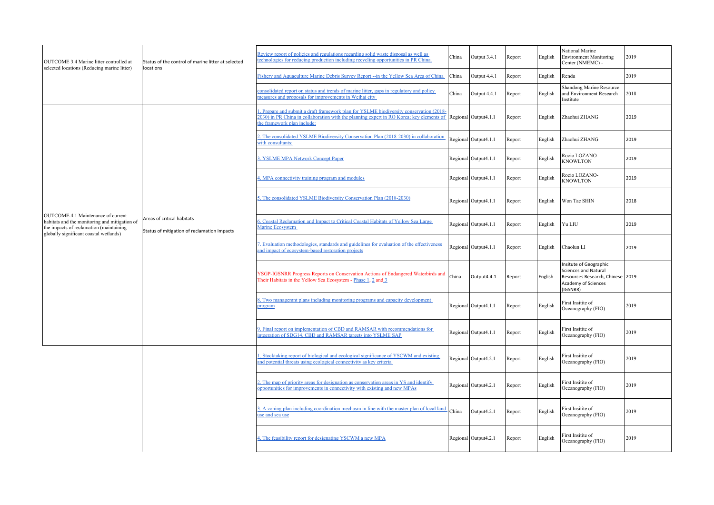| OUTCOME 3.4 Marine litter controlled at<br>selected locations (Reducing marine litter)                                                                                   | Status of the control of marine litter at selected<br>locations           | Review report of policies and regulations regarding solid waste disposal as well as<br>echnologies for reducing production including recycling opportunities in PR China.                                        | China | Output 3.4.1         | Report | English | National Marine<br><b>Environment Monitoring</b><br>Center (NMEMC) -                                                         | 2019 |
|--------------------------------------------------------------------------------------------------------------------------------------------------------------------------|---------------------------------------------------------------------------|------------------------------------------------------------------------------------------------------------------------------------------------------------------------------------------------------------------|-------|----------------------|--------|---------|------------------------------------------------------------------------------------------------------------------------------|------|
|                                                                                                                                                                          |                                                                           | Fishery and Aquaculture Marine Debris Survey Report -- in the Yellow Sea Area of China                                                                                                                           | China | Output 4.4.1         | Report | English | Rendu                                                                                                                        | 2019 |
|                                                                                                                                                                          |                                                                           | consolidated report on status and trends of marine litter, gaps in regulatory and policy<br>neasures and proposals for improvements in Weihai city                                                               | China | Output 4.4.1         | Report | English | Shandong Marine Resource<br>and Environment Research<br>Institute                                                            | 2018 |
|                                                                                                                                                                          |                                                                           | Prepare and submit a draft framework plan for YSLME biodiversity conservation (2018).<br>2030) in PR China in collaboration with the planning expert in RO Korea; key elements of<br>the framework plan include: |       | Regional Output4.1.1 | Report | English | Zhaohui ZHANG                                                                                                                | 2019 |
|                                                                                                                                                                          |                                                                           | 2. The consolidated YSLME Biodiversity Conservation Plan (2018-2030) in collaboration<br>with consultants;                                                                                                       |       | Regional Output4.1.1 | Report | English | Zhaohui ZHANG                                                                                                                | 2019 |
|                                                                                                                                                                          |                                                                           | 3. YSLME MPA Network Concept Paper                                                                                                                                                                               |       | Regional Output4.1.1 | Report | English | Rocio LOZANO-<br><b>KNOWLTON</b>                                                                                             | 2019 |
|                                                                                                                                                                          |                                                                           | 4. MPA connectivity training program and modules                                                                                                                                                                 |       | Regional Output4.1.1 | Report | English | Rocio LOZANO-<br><b>KNOWLTON</b>                                                                                             | 2019 |
|                                                                                                                                                                          | Areas of critical habitats<br>Status of mitigation of reclamation impacts | 5. The consolidated YSLME Biodiversity Conservation Plan (2018-2030)                                                                                                                                             |       | Regional Output4.1.1 | Report | English | Won Tae SHIN                                                                                                                 | 2018 |
| OUTCOME 4.1 Maintenance of current<br>habitats and the monitoring and mitigation of<br>the impacts of reclamation (maintaining<br>globally significant coastal wetlands) |                                                                           | 6. Coastal Reclamation and Impact to Critical Coastal Habitats of Yellow Sea Large<br>Marine Ecosystem                                                                                                           |       | Regional Output4.1.1 | Report | English | Yu LIU                                                                                                                       | 2019 |
|                                                                                                                                                                          |                                                                           | 7. Evaluation methodologies, standards and guidelines for evaluation of the effectiveness<br>and impact of ecosystem-based restoration projects                                                                  |       | Regional Output4.1.1 | Report | English | Chaolun LI                                                                                                                   | 2019 |
|                                                                                                                                                                          |                                                                           | YSGP-IGSNRR Progress Reports on Conservation Actions of Endangered Waterbirds and<br>Their Habitats in the Yellow Sea Ecosystem - Phase 1, 2 and 3                                                               | China | Output4.4.1          | Report | English | Insitute of Geographic<br><b>Sciences and Natural</b><br>Resources Research, Chinese 2019<br>Academy of Sciences<br>(IGSNRR) |      |
|                                                                                                                                                                          |                                                                           | 8. Two managemnt plans including monitoring programs and capacity development<br>program                                                                                                                         |       | Regional Output4.1.1 | Report | English | First Insitite of<br>Oceanography (FIO)                                                                                      | 2019 |
|                                                                                                                                                                          |                                                                           | 9. Final report on implementation of CBD and RAMSAR with recommendations for<br>ntegration of SDG14, CBD and RAMSAR targets into YSLME SAP                                                                       |       | Regional Output4.1.1 | Report | English | First Insitite of<br>Oceanography (FIO)                                                                                      | 2019 |
|                                                                                                                                                                          |                                                                           | . Stocktaking report of biological and ecological significance of YSCWM and existing<br>and potential threats using ecological connectivity as key criteria                                                      |       | Regional Output4.2.1 | Report | English | First Insitite of<br>Oceanography (FIO)                                                                                      | 2019 |
|                                                                                                                                                                          |                                                                           | 2. The map of priority areas for designation as conservation areas in YS and identify<br>opportunities for improvements in connectivity with existing and new MPAs                                               |       | Regional Output4.2.1 | Report | English | First Insitite of<br>Oceanography (FIO)                                                                                      | 2019 |
|                                                                                                                                                                          |                                                                           | 3. A zoning plan including coordination mechasm in line with the master plan of local land<br>use and sea use                                                                                                    | China | Output4.2.1          | Report | English | First Insitite of<br>Oceanography (FIO)                                                                                      | 2019 |
|                                                                                                                                                                          |                                                                           | 4. The feasibility report for designating YSCWM a new MPA                                                                                                                                                        |       | Regional Output4.2.1 | Report | English | First Insitite of<br>Oceanography (FIO)                                                                                      | 2019 |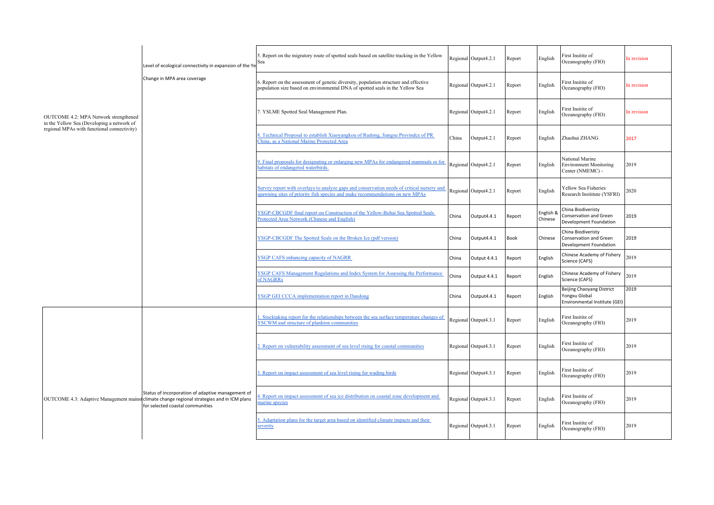|                                                                                     | Level of ecological connectivity in expansion of the Y<br>Change in MPA area coverage                                                                                               | 5. Report on the migratory route of spotted seals based on satellite tracking in the Yellow<br>Sea                                                                         |       | Regional Output4.2.1 | Report      | English              | First Insitite of<br>Oceanography (FIO)                                     | In revision |
|-------------------------------------------------------------------------------------|-------------------------------------------------------------------------------------------------------------------------------------------------------------------------------------|----------------------------------------------------------------------------------------------------------------------------------------------------------------------------|-------|----------------------|-------------|----------------------|-----------------------------------------------------------------------------|-------------|
|                                                                                     |                                                                                                                                                                                     | 6. Report on the assessment of genetic diversity, population structure and effective<br>population size based on environmental DNA of spotted seals in the Yellow Sea      |       | Regional Output4.2.1 | Report      | English              | First Insitite of<br>Oceanography (FIO)                                     | In revision |
| OUTCOME 4.2: MPA Network strengthened<br>in the Yellow Sea (Developing a network of |                                                                                                                                                                                     | 7. YSLME Spotted Seal Management Plan.                                                                                                                                     |       | Regional Output4.2.1 | Report      | English              | First Insitite of<br>Oceanography (FIO)                                     | In revision |
| regional MPAs with functional connectivity)                                         |                                                                                                                                                                                     | 3. Technical Proposal to establish Xiaoyangkou of Rudong, Jiangsu Provindce of PR<br>China, as a National Marine Protected Area                                            | China | Output4.2.1          | Report      | English              | Zhaohui ZHANG                                                               | 2017        |
|                                                                                     |                                                                                                                                                                                     | 9. Final proposals for designating or enlarging new MPAs for endangered mammals or for<br>habitats of endangered waterbirds.                                               |       | Regional Output4.2.1 | Report      | English              | National Marine<br><b>Environment Monitoring</b><br>Center (NMEMC) -        | 2019        |
|                                                                                     |                                                                                                                                                                                     | Survey report with overlays to analyze gaps and conservation needs of critical nursery and<br>spawning sites of priority fish species and make recommendations on new MPAs |       | Regional Output4.2.1 | Report      | English              | Yellow Sea Fisheries<br>Research Insititute (YSFRI)                         | 2020        |
|                                                                                     |                                                                                                                                                                                     | YSGP-CBCGDF final report on Construction of the Yellow-Bohai Sea Spotted Seals<br>Protected Area Network (Chinese and English)                                             | China | Output4.4.1          | Report      | English &<br>Chinese | China Biodiveristy<br>Conservation and Green<br>Development Foundation      | 2019        |
|                                                                                     |                                                                                                                                                                                     | YSGP-CBCGDF The Spotted Seals on the Broken Ice (pdf version)                                                                                                              | China | Output4.4.1          | <b>Book</b> | Chinese              | China Biodiveristy<br>Conservation and Green<br>Development Foundation      | 2019        |
|                                                                                     |                                                                                                                                                                                     | <b>YSGP CAFS enhancing capacity of NAGRR</b>                                                                                                                               | China | Output 4.4.1         | Report      | English              | Chinese Academy of Fishery<br>Science (CAFS)                                | 2019        |
|                                                                                     |                                                                                                                                                                                     | YSGP CAFS Management Regulations and Index System for Assessing the Performance<br>of NAGRRs                                                                               | China | Output 4.4.1         | Report      | English              | Chinese Academy of Fishery<br>Science (CAFS)                                | 2019        |
|                                                                                     |                                                                                                                                                                                     | <b>YSGP GEI CCCA implementation report in Dandong</b>                                                                                                                      | China | Output4.4.1          | Report      | English              | Beijing Chaoyang District<br>Yongxu Global<br>Environmental Institute (GEI) | 2019        |
|                                                                                     |                                                                                                                                                                                     | . Stocktaking report for the relationships between the sea surface temperature changes of<br><b>YSCWM</b> and structure of plankton communities                            |       | Regional Output4.3.1 | Report      | English              | First Insitite of<br>Oceanography (FIO)                                     | 2019        |
|                                                                                     |                                                                                                                                                                                     | 2. Report on vulnerability assessment of sea level rising for coastal communities                                                                                          |       | Regional Output4.3.1 | Report      | English              | First Insitite of<br>Oceanography (FIO)                                     | 2019        |
|                                                                                     |                                                                                                                                                                                     | 3. Report on impact assessment of sea level rising for wading birds                                                                                                        |       | Regional Output4.3.1 | Report      | English              | First Insitite of<br>Oceanography (FIO)                                     | 2019        |
|                                                                                     | Status of incorporation of adaptive management of<br>OUTCOME 4.3: Adaptive Management mains climate change regional strategies and in ICM plans<br>for selected coastal communities | . Report on impact assessment of sea ice distribution on coastal zone development and<br>narine species                                                                    |       | Regional Output4.3.1 | Report      | English              | First Insitite of<br>Oceanography (FIO)                                     | 2019        |
|                                                                                     |                                                                                                                                                                                     | 5. Adaptation plans for the target area based on identified climate impacts and their<br>severity                                                                          |       | Regional Output4.3.1 | Report      | English              | First Insitite of<br>Oceanography (FIO)                                     | 2019        |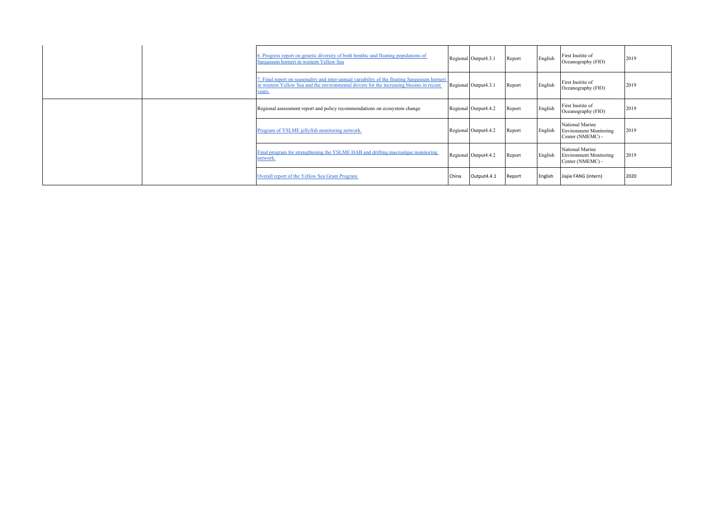| 6. Progress report on genetic diversity of both benthic and floating populations of<br>Sargassum horneri in western Yellow Sea                                                                     |       | Regional Output4.3.1 | Report | English | First Insitite of<br>Oceanography (FIO)                              | 2019 |
|----------------------------------------------------------------------------------------------------------------------------------------------------------------------------------------------------|-------|----------------------|--------|---------|----------------------------------------------------------------------|------|
| 7. Final report on seasonality and inter-annual variability of the floating Sargassum horneri<br>in western Yellow Sea and the environmental drivers for the increasing blooms in recent<br>years. |       | Regional Output4.3.1 | Report | English | First Insitite of<br>Oceanography (FIO)                              | 2019 |
| Regional assessment report and policy recommendations on ecosystem change                                                                                                                          |       | Regional Output4.4.2 | Report | English | First Insitite of<br>Oceanography (FIO)                              | 2019 |
| Program of YSLME jellyfish monitoring network.                                                                                                                                                     |       | Regional Output4.4.2 | Report | English | National Marine<br>Environment Monitoring<br>Center (NMEMC) -        | 2019 |
| Final program for strengthening the YSLME HAB and drifting macroalgae monitoring<br>network.                                                                                                       |       | Regional Output4.4.2 | Report | English | National Marine<br><b>Environment Monitoring</b><br>Center (NMEMC) - | 2019 |
| Overall report of the Yellow Sea Grant Program                                                                                                                                                     | China | Output4.4.1          | Report | English | Jiajie FANG (intern)                                                 | 2020 |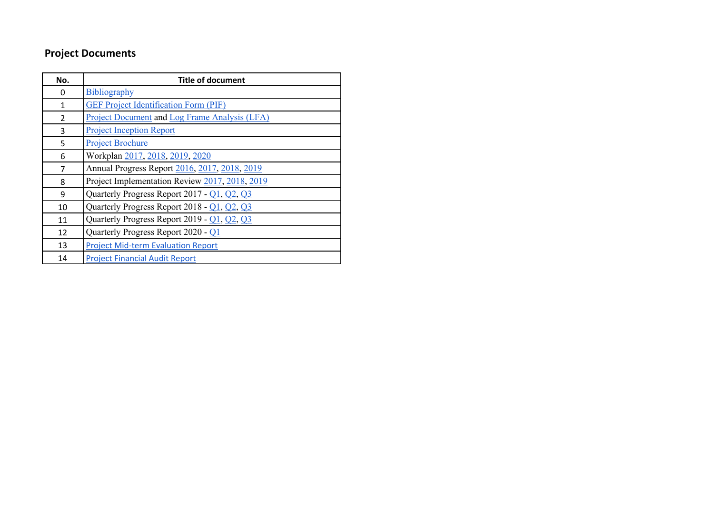## **Project Documents**

| No.            | <b>Title of document</b>                             |
|----------------|------------------------------------------------------|
| 0              | Bibliography                                         |
| 1              | <b>GEF Project Identification Form (PIF)</b>         |
| $\overline{2}$ | <b>Project Document and Log Frame Analysis (LFA)</b> |
| 3              | <b>Project Inception Report</b>                      |
| 5              | <b>Project Brochure</b>                              |
| 6              | Workplan 2017, 2018, 2019, 2020                      |
| 7              | Annual Progress Report 2016, 2017, 2018, 2019        |
| 8              | Project Implementation Review 2017, 2018, 2019       |
| 9              | Quarterly Progress Report 2017 - Q1, Q2, Q3          |
| 10             | Quarterly Progress Report 2018 - Q1, Q2, Q3          |
| 11             | Quarterly Progress Report 2019 - Q1, Q2, Q3          |
| 12             | Quarterly Progress Report 2020 - Q1                  |
| 13             | <b>Project Mid-term Evaluation Report</b>            |
| 14             | <b>Project Financial Audit Report</b>                |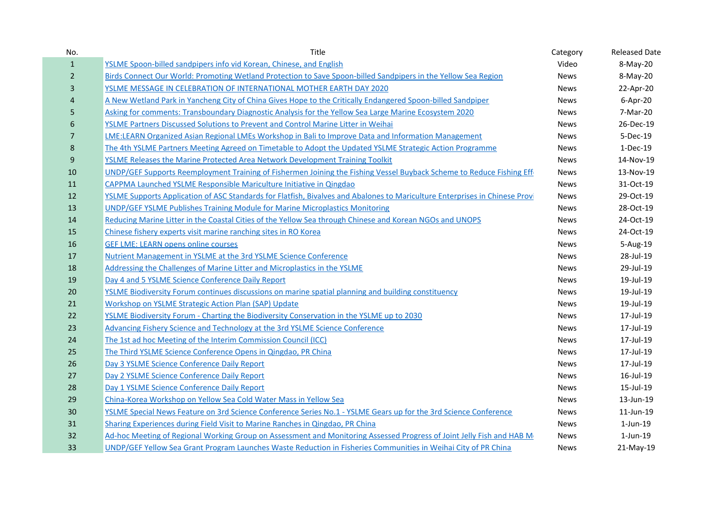| No.              | Title                                                                                                                       | Category    | <b>Released Date</b> |
|------------------|-----------------------------------------------------------------------------------------------------------------------------|-------------|----------------------|
| $\mathbf{1}$     | <b>YSLME Spoon-billed sandpipers info vid Korean, Chinese, and English</b>                                                  | Video       | 8-May-20             |
| $\overline{2}$   | Birds Connect Our World: Promoting Wetland Protection to Save Spoon-billed Sandpipers in the Yellow Sea Region              | <b>News</b> | 8-May-20             |
| 3                | YSLME MESSAGE IN CELEBRATION OF INTERNATIONAL MOTHER EARTH DAY 2020                                                         | <b>News</b> | 22-Apr-20            |
| $\overline{a}$   | A New Wetland Park in Yancheng City of China Gives Hope to the Critically Endangered Spoon-billed Sandpiper                 | <b>News</b> | 6-Apr-20             |
| 5                | Asking for comments: Transboundary Diagnostic Analysis for the Yellow Sea Large Marine Ecosystem 2020                       | <b>News</b> | 7-Mar-20             |
| $6\phantom{1}6$  | YSLME Partners Discussed Solutions to Prevent and Control Marine Litter in Weihai                                           | <b>News</b> | 26-Dec-19            |
| $\overline{7}$   | LME:LEARN Organized Asian Regional LMEs Workshop in Bali to Improve Data and Information Management                         | <b>News</b> | 5-Dec-19             |
| $\bf 8$          | The 4th YSLME Partners Meeting Agreed on Timetable to Adopt the Updated YSLME Strategic Action Programme                    | <b>News</b> | 1-Dec-19             |
| $\boldsymbol{9}$ | <b>YSLME Releases the Marine Protected Area Network Development Training Toolkit</b>                                        | <b>News</b> | 14-Nov-19            |
| 10               | UNDP/GEF Supports Reemployment Training of Fishermen Joining the Fishing Vessel Buyback Scheme to Reduce Fishing Effi       | News        | 13-Nov-19            |
| 11               | CAPPMA Launched YSLME Responsible Mariculture Initiative in Qingdao                                                         | <b>News</b> | 31-Oct-19            |
| 12               | YSLME Supports Application of ASC Standards for Flatfish, Bivalves and Abalones to Mariculture Enterprises in Chinese Provi | <b>News</b> | 29-Oct-19            |
| 13               | <b>UNDP/GEF YSLME Publishes Training Module for Marine Microplastics Monitoring</b>                                         | <b>News</b> | 28-Oct-19            |
| 14               | Reducing Marine Litter in the Coastal Cities of the Yellow Sea through Chinese and Korean NGOs and UNOPS                    | News        | 24-Oct-19            |
| 15               | Chinese fishery experts visit marine ranching sites in RO Korea                                                             | <b>News</b> | 24-Oct-19            |
| 16               | <b>GEF LME: LEARN opens online courses</b>                                                                                  | <b>News</b> | 5-Aug-19             |
| 17               | Nutrient Management in YSLME at the 3rd YSLME Science Conference                                                            | <b>News</b> | 28-Jul-19            |
| 18               | Addressing the Challenges of Marine Litter and Microplastics in the YSLME                                                   | <b>News</b> | 29-Jul-19            |
| 19               | Day 4 and 5 YSLME Science Conference Daily Report                                                                           | <b>News</b> | 19-Jul-19            |
| 20               | YSLME Biodiversity Forum continues discussions on marine spatial planning and building constituency                         | <b>News</b> | 19-Jul-19            |
| 21               | Workshop on YSLME Strategic Action Plan (SAP) Update                                                                        | <b>News</b> | 19-Jul-19            |
| 22               | YSLME Biodiversity Forum - Charting the Biodiversity Conservation in the YSLME up to 2030                                   | <b>News</b> | 17-Jul-19            |
| 23               | Advancing Fishery Science and Technology at the 3rd YSLME Science Conference                                                | <b>News</b> | 17-Jul-19            |
| 24               | The 1st ad hoc Meeting of the Interim Commission Council (ICC)                                                              | <b>News</b> | 17-Jul-19            |
| 25               | The Third YSLME Science Conference Opens in Qingdao, PR China                                                               | <b>News</b> | 17-Jul-19            |
| 26               | Day 3 YSLME Science Conference Daily Report                                                                                 | <b>News</b> | 17-Jul-19            |
| 27               | Day 2 YSLME Science Conference Daily Report                                                                                 | <b>News</b> | 16-Jul-19            |
| 28               | Day 1 YSLME Science Conference Daily Report                                                                                 | <b>News</b> | 15-Jul-19            |
| 29               | China-Korea Workshop on Yellow Sea Cold Water Mass in Yellow Sea                                                            | <b>News</b> | 13-Jun-19            |
| 30               | YSLME Special News Feature on 3rd Science Conference Series No.1 - YSLME Gears up for the 3rd Science Conference            | <b>News</b> | 11-Jun-19            |
| 31               | Sharing Experiences during Field Visit to Marine Ranches in Qingdao, PR China                                               | <b>News</b> | $1$ -Jun- $19$       |
| 32               | Ad-hoc Meeting of Regional Working Group on Assessment and Monitoring Assessed Progress of Joint Jelly Fish and HAB Mi      | <b>News</b> | $1$ -Jun- $19$       |
| 33               | UNDP/GEF Yellow Sea Grant Program Launches Waste Reduction in Fisheries Communities in Weihai City of PR China              | <b>News</b> | 21-May-19            |